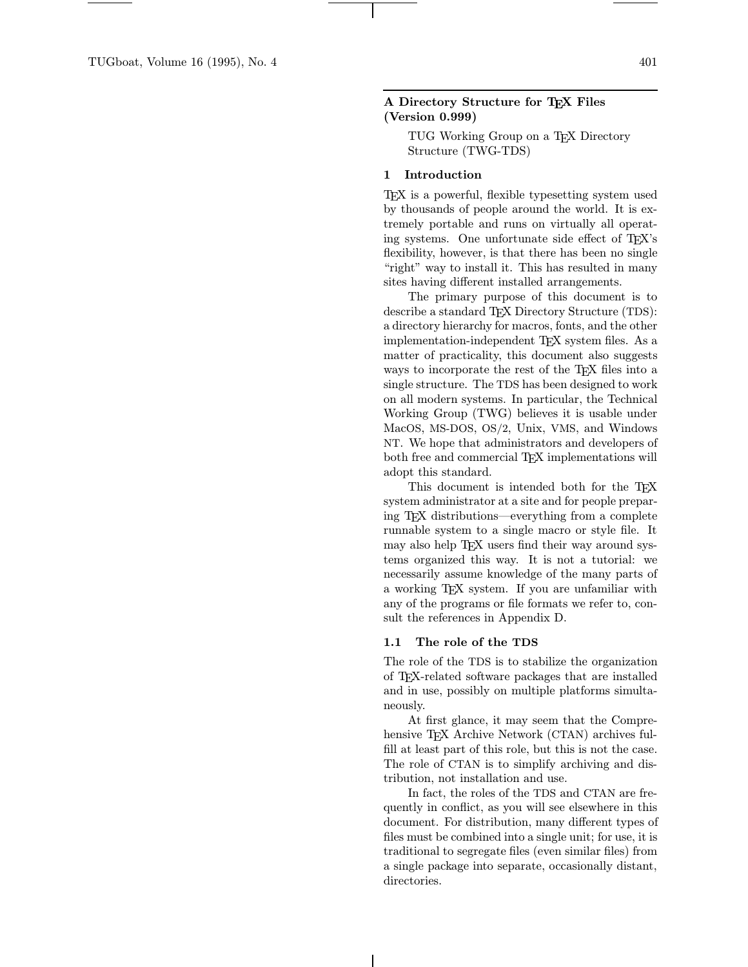## A Directory Structure for TEX Files (Version 0.999)

TUG Working Group on a TEX Directory Structure (TWG-TDS)

#### 1 Introduction

TEX is a powerful, flexible typesetting system used by thousands of people around the world. It is extremely portable and runs on virtually all operating systems. One unfortunate side effect of TEX's flexibility, however, is that there has been no single "right" way to install it. This has resulted in many sites having different installed arrangements.

The primary purpose of this document is to describe a standard T<sub>EX</sub> Directory Structure (TDS): a directory hierarchy for macros, fonts, and the other implementation-independent TEX system files. As a matter of practicality, this document also suggests ways to incorporate the rest of the T<sub>E</sub>X files into a single structure. The TDS has been designed to work on all modern systems. In particular, the Technical Working Group (TWG) believes it is usable under MacOS, MS-DOS, OS/2, Unix, VMS, and Windows NT. We hope that administrators and developers of both free and commercial TFX implementations will adopt this standard.

This document is intended both for the TEX system administrator at a site and for people preparing TEX distributions—everything from a complete runnable system to a single macro or style file. It may also help T<sub>F</sub>X users find their way around systems organized this way. It is not a tutorial: we necessarily assume knowledge of the many parts of a working TEX system. If you are unfamiliar with any of the programs or file formats we refer to, consult the references in Appendix D.

## 1.1 The role of the TDS

The role of the TDS is to stabilize the organization of TEX-related software packages that are installed and in use, possibly on multiple platforms simultaneously.

At first glance, it may seem that the Comprehensive T<sub>EX</sub> Archive Network (CTAN) archives fulfill at least part of this role, but this is not the case. The role of CTAN is to simplify archiving and distribution, not installation and use.

In fact, the roles of the TDS and CTAN are frequently in conflict, as you will see elsewhere in this document. For distribution, many different types of files must be combined into a single unit; for use, it is traditional to segregate files (even similar files) from a single package into separate, occasionally distant, directories.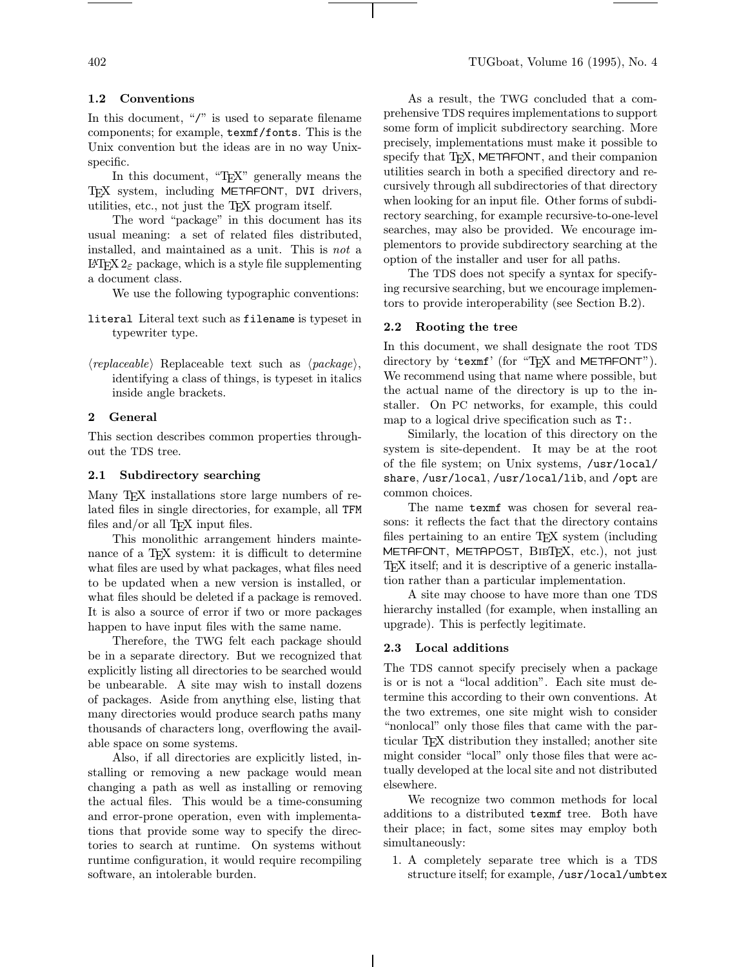In this document, "/" is used to separate filename components; for example, texmf/fonts. This is the Unix convention but the ideas are in no way Unixspecific.

In this document, "TEX" generally means the TEX system, including METAFONT, DVI drivers, utilities, etc., not just the TEX program itself.

The word "package" in this document has its usual meaning: a set of related files distributed, installed, and maintained as a unit. This is not a LAT<sub>EX</sub> 2<sub> $\varepsilon$ </sub> package, which is a style file supplementing a document class.

We use the following typographic conventions:

- literal Literal text such as filename is typeset in typewriter type.
- $\langle replaceable\rangle$  Replaceable text such as  $\langle package\rangle$ , identifying a class of things, is typeset in italics inside angle brackets.

## 2 General

This section describes common properties throughout the TDS tree.

#### 2.1 Subdirectory searching

Many T<sub>E</sub>X installations store large numbers of related files in single directories, for example, all TFM files and/or all T<sub>E</sub>X input files.

This monolithic arrangement hinders maintenance of a T<sub>EX</sub> system: it is difficult to determine what files are used by what packages, what files need to be updated when a new version is installed, or what files should be deleted if a package is removed. It is also a source of error if two or more packages happen to have input files with the same name.

Therefore, the TWG felt each package should be in a separate directory. But we recognized that explicitly listing all directories to be searched would be unbearable. A site may wish to install dozens of packages. Aside from anything else, listing that many directories would produce search paths many thousands of characters long, overflowing the available space on some systems.

Also, if all directories are explicitly listed, installing or removing a new package would mean changing a path as well as installing or removing the actual files. This would be a time-consuming and error-prone operation, even with implementations that provide some way to specify the directories to search at runtime. On systems without runtime configuration, it would require recompiling software, an intolerable burden.

As a result, the TWG concluded that a comprehensive TDS requires implementations to support some form of implicit subdirectory searching. More precisely, implementations must make it possible to specify that T<sub>F</sub>X, METAFONT, and their companion utilities search in both a specified directory and recursively through all subdirectories of that directory when looking for an input file. Other forms of subdirectory searching, for example recursive-to-one-level searches, may also be provided. We encourage implementors to provide subdirectory searching at the option of the installer and user for all paths.

The TDS does not specify a syntax for specifying recursive searching, but we encourage implementors to provide interoperability (see Section B.2).

## 2.2 Rooting the tree

In this document, we shall designate the root TDS directory by 'texmf' (for "TEX and METAFONT"). We recommend using that name where possible, but the actual name of the directory is up to the installer. On PC networks, for example, this could map to a logical drive specification such as T:.

Similarly, the location of this directory on the system is site-dependent. It may be at the root of the file system; on Unix systems, /usr/local/ share, /usr/local, /usr/local/lib, and /opt are common choices.

The name texmf was chosen for several reasons: it reflects the fact that the directory contains files pertaining to an entire TEX system (including METAFONT, METAPOST, BIBTFX, etc.), not just TEX itself; and it is descriptive of a generic installation rather than a particular implementation.

A site may choose to have more than one TDS hierarchy installed (for example, when installing an upgrade). This is perfectly legitimate.

#### 2.3 Local additions

The TDS cannot specify precisely when a package is or is not a "local addition". Each site must determine this according to their own conventions. At the two extremes, one site might wish to consider "nonlocal" only those files that came with the particular TEX distribution they installed; another site might consider "local" only those files that were actually developed at the local site and not distributed elsewhere.

We recognize two common methods for local additions to a distributed texmf tree. Both have their place; in fact, some sites may employ both simultaneously:

1. A completely separate tree which is a TDS structure itself; for example, /usr/local/umbtex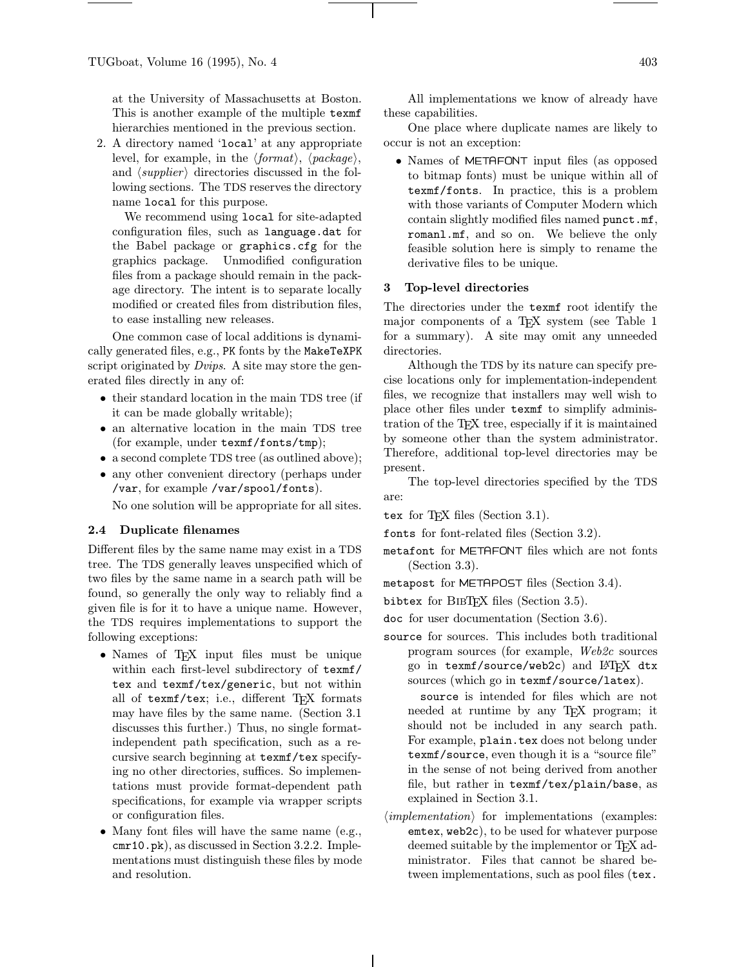at the University of Massachusetts at Boston. This is another example of the multiple texmf hierarchies mentioned in the previous section.

2. A directory named 'local' at any appropriate level, for example, in the  $\langle format \rangle$ ,  $\langle package \rangle$ , and  $\langle supplier \rangle$  directories discussed in the following sections. The TDS reserves the directory name local for this purpose.

We recommend using local for site-adapted configuration files, such as language.dat for the Babel package or graphics.cfg for the graphics package. Unmodified configuration files from a package should remain in the package directory. The intent is to separate locally modified or created files from distribution files, to ease installing new releases.

One common case of local additions is dynamically generated files, e.g., PK fonts by the MakeTeXPK script originated by *Dvips*. A site may store the generated files directly in any of:

- their standard location in the main TDS tree (if it can be made globally writable);
- an alternative location in the main TDS tree (for example, under texmf/fonts/tmp);
- a second complete TDS tree (as outlined above);
- any other convenient directory (perhaps under /var, for example /var/spool/fonts).

No one solution will be appropriate for all sites.

## 2.4 Duplicate filenames

Different files by the same name may exist in a TDS tree. The TDS generally leaves unspecified which of two files by the same name in a search path will be found, so generally the only way to reliably find a given file is for it to have a unique name. However, the TDS requires implementations to support the following exceptions:

- Names of T<sub>F</sub>X input files must be unique within each first-level subdirectory of texmf/ tex and texmf/tex/generic, but not within all of texmf/tex; i.e., different T<sub>EX</sub> formats may have files by the same name. (Section 3.1 discusses this further.) Thus, no single formatindependent path specification, such as a recursive search beginning at texmf/tex specifying no other directories, suffices. So implementations must provide format-dependent path specifications, for example via wrapper scripts or configuration files.
- Many font files will have the same name (e.g., cmr10.pk), as discussed in Section 3.2.2. Implementations must distinguish these files by mode and resolution.

All implementations we know of already have these capabilities.

One place where duplicate names are likely to occur is not an exception:

• Names of METAFONT input files (as opposed to bitmap fonts) must be unique within all of texmf/fonts. In practice, this is a problem with those variants of Computer Modern which contain slightly modified files named punct.mf, romanl.mf, and so on. We believe the only feasible solution here is simply to rename the derivative files to be unique.

#### 3 Top-level directories

The directories under the texmf root identify the major components of a T<sub>EX</sub> system (see Table 1) for a summary). A site may omit any unneeded directories.

Although the TDS by its nature can specify precise locations only for implementation-independent files, we recognize that installers may well wish to place other files under texmf to simplify administration of the TEX tree, especially if it is maintained by someone other than the system administrator. Therefore, additional top-level directories may be present.

- The top-level directories specified by the TDS are:
- tex for T<sub>F</sub>X files (Section 3.1).
- fonts for font-related files (Section 3.2).
- metafont for METAFONT files which are not fonts (Section 3.3).
- metapost for METAPOST files (Section 3.4).
- bibtex for BibTEX files (Section 3.5).
- doc for user documentation (Section 3.6).
- source for sources. This includes both traditional program sources (for example, Web2c sources go in texmf/source/web2c) and LATFX dtx sources (which go in texmf/source/latex).

source is intended for files which are not needed at runtime by any TEX program; it should not be included in any search path. For example, plain.tex does not belong under texmf/source, even though it is a "source file" in the sense of not being derived from another file, but rather in texmf/tex/plain/base, as explained in Section 3.1.

 $\langle implementation \rangle$  for implementations (examples: emtex, web2c), to be used for whatever purpose deemed suitable by the implementor or TEX administrator. Files that cannot be shared between implementations, such as pool files (tex.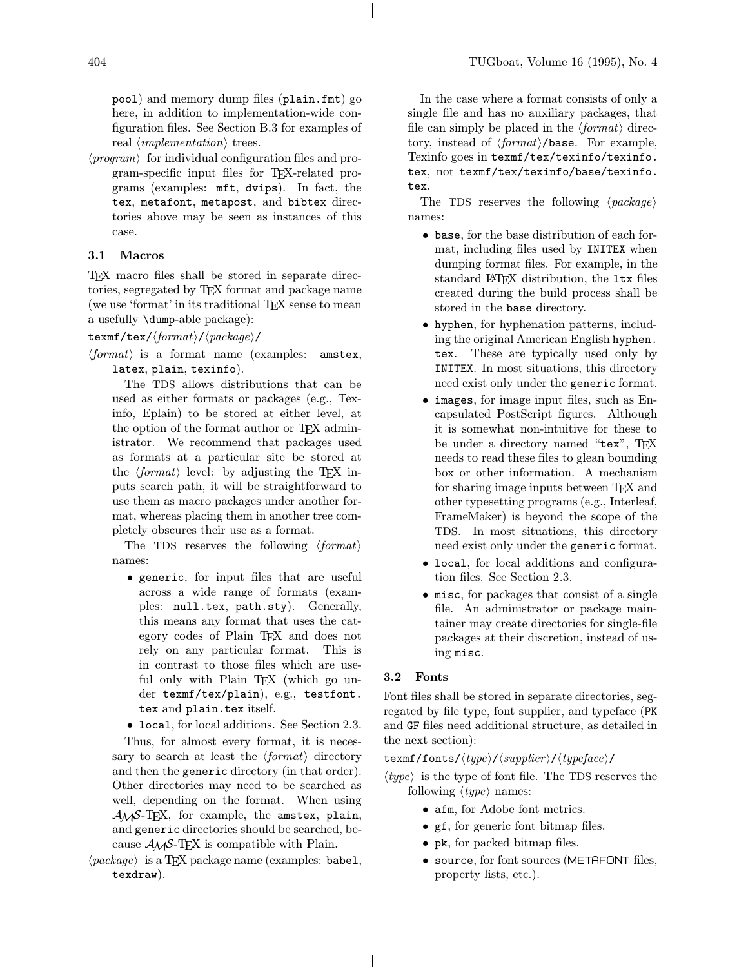pool) and memory dump files (plain.fmt) go here, in addition to implementation-wide configuration files. See Section B.3 for examples of real  $\langle implementation \rangle$  trees.

 $\langle program \rangle$  for individual configuration files and program-specific input files for TEX-related programs (examples: mft, dvips). In fact, the tex, metafont, metapost, and bibtex directories above may be seen as instances of this case.

## 3.1 Macros

TEX macro files shall be stored in separate directories, segregated by TEX format and package name (we use 'format' in its traditional T<sub>EX</sub> sense to mean a usefully \dump-able package):

## texmf/tex/ $\langle format \rangle / \langle package \rangle /$

 $\langle format \rangle$  is a format name (examples: amstex, latex, plain, texinfo).

The TDS allows distributions that can be used as either formats or packages (e.g., Texinfo, Eplain) to be stored at either level, at the option of the format author or TEX administrator. We recommend that packages used as formats at a particular site be stored at the  $\langle format \rangle$  level: by adjusting the TFX inputs search path, it will be straightforward to use them as macro packages under another format, whereas placing them in another tree completely obscures their use as a format.

The TDS reserves the following  $\langle format \rangle$ names:

• generic, for input files that are useful across a wide range of formats (examples: null.tex, path.sty). Generally, this means any format that uses the category codes of Plain T<sub>E</sub>X and does not<br>rely on any particular format. This is rely on any particular format. in contrast to those files which are useful only with Plain T<sub>EX</sub> (which go under texmf/tex/plain), e.g., testfont. tex and plain.tex itself.

• local, for local additions. See Section 2.3.

Thus, for almost every format, it is necessary to search at least the  $\langle format \rangle$  directory and then the generic directory (in that order). Other directories may need to be searched as well, depending on the format. When using  $A_{\mathcal{M}}S$ -T<sub>F</sub>X, for example, the amstex, plain, and generic directories should be searched, because  $A_{\mathcal{M}}S$ -TEX is compatible with Plain.

 $\langle package \rangle$  is a TEX package name (examples: babel, texdraw).

In the case where a format consists of only a single file and has no auxiliary packages, that file can simply be placed in the  $\langle format \rangle$  directory, instead of  $\langle format \rangle$ /base. For example, Texinfo goes in texmf/tex/texinfo/texinfo. tex, not texmf/tex/texinfo/base/texinfo. tex.

The TDS reserves the following  $\langle package \rangle$ names:

- base, for the base distribution of each format, including files used by INITEX when dumping format files. For example, in the standard L<sup>AT</sup>FX distribution, the ltx files created during the build process shall be stored in the base directory.
- hyphen, for hyphenation patterns, including the original American English hyphen. tex. These are typically used only by INITEX. In most situations, this directory need exist only under the generic format.
- images, for image input files, such as Encapsulated PostScript figures. Although it is somewhat non-intuitive for these to be under a directory named "tex", TFX needs to read these files to glean bounding box or other information. A mechanism for sharing image inputs between T<sub>EX</sub> and other typesetting programs (e.g., Interleaf, FrameMaker) is beyond the scope of the TDS. In most situations, this directory need exist only under the generic format.
- local, for local additions and configuration files. See Section 2.3.
- misc, for packages that consist of a single file. An administrator or package maintainer may create directories for single-file packages at their discretion, instead of using misc.

## 3.2 Fonts

Font files shall be stored in separate directories, segregated by file type, font supplier, and typeface (PK and GF files need additional structure, as detailed in the next section):

## $\texttt{tex}$ /fonts/ $\langle type \rangle/\langle supplier \rangle/\langle typeface \rangle/$

- $\langle type \rangle$  is the type of font file. The TDS reserves the following  $\langle type \rangle$  names:
	- afm, for Adobe font metrics.
	- gf, for generic font bitmap files.
	- pk, for packed bitmap files.
	- source, for font sources (METAFONT files, property lists, etc.).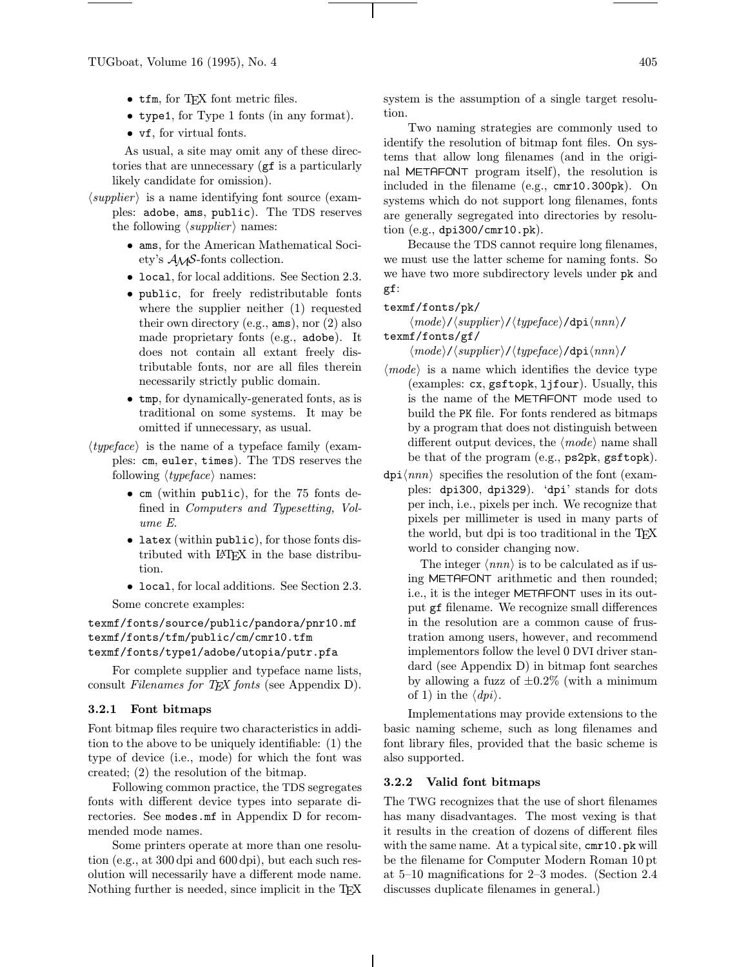- tfm, for TFX font metric files.
- type1, for Type 1 fonts (in any format).
- vf, for virtual fonts.

As usual, a site may omit any of these directories that are unnecessary (gf is a particularly likely candidate for omission).

- $\langle supplier \rangle$  is a name identifying font source (examples: adobe, ams, public). The TDS reserves the following  $\langle supportier \rangle$  names:
	- ams, for the American Mathematical Society's AMS-fonts collection.
	- local, for local additions. See Section 2.3.
	- public, for freely redistributable fonts where the supplier neither (1) requested their own directory (e.g., ams), nor (2) also made proprietary fonts (e.g., adobe). It does not contain all extant freely distributable fonts, nor are all files therein necessarily strictly public domain.
	- tmp, for dynamically-generated fonts, as is traditional on some systems. It may be omitted if unnecessary, as usual.
- $\langle typeface \rangle$  is the name of a typeface family (examples: cm, euler, times). The TDS reserves the following  $\langle typeface \rangle$  names:
	- cm (within public), for the 75 fonts defined in Computers and Typesetting, Volume E.
	- latex (within public), for those fonts distributed with LATEX in the base distribution.
	- local, for local additions. See Section 2.3. Some concrete examples:

texmf/fonts/source/public/pandora/pnr10.mf texmf/fonts/tfm/public/cm/cmr10.tfm texmf/fonts/type1/adobe/utopia/putr.pfa

For complete supplier and typeface name lists, consult Filenames for TEX fonts (see Appendix D).

## 3.2.1 Font bitmaps

Font bitmap files require two characteristics in addition to the above to be uniquely identifiable: (1) the type of device (i.e., mode) for which the font was created; (2) the resolution of the bitmap.

Following common practice, the TDS segregates fonts with different device types into separate directories. See modes.mf in Appendix D for recommended mode names.

Some printers operate at more than one resolution (e.g., at 300 dpi and 600 dpi), but each such resolution will necessarily have a different mode name. Nothing further is needed, since implicit in the T<sub>E</sub>X system is the assumption of a single target resolution.

Two naming strategies are commonly used to identify the resolution of bitmap font files. On systems that allow long filenames (and in the original METAFONT program itself), the resolution is included in the filename (e.g., cmr10.300pk). On systems which do not support long filenames, fonts are generally segregated into directories by resolution (e.g., dpi300/cmr10.pk).

Because the TDS cannot require long filenames, we must use the latter scheme for naming fonts. So we have two more subdirectory levels under pk and gf:

#### texmf/fonts/pk/

 $\langle mode \rangle / \langle supplier \rangle / \langle typeface \rangle /$ dpi $\langle nnn \rangle /$ texmf/fonts/gf/

 $\langle mode \rangle$ / $\langle supplier \rangle$ / $\langle typeface \rangle$ /dpi $\langle nnn \rangle$ /

- $\langle mode \rangle$  is a name which identifies the device type (examples: cx, gsftopk, ljfour). Usually, this is the name of the METAFONT mode used to build the PK file. For fonts rendered as bitmaps by a program that does not distinguish between different output devices, the  $\langle mode \rangle$  name shall be that of the program (e.g., ps2pk, gsftopk).
- $\text{dpi}\langle nnn \rangle$  specifies the resolution of the font (examples: dpi300, dpi329). 'dpi' stands for dots per inch, i.e., pixels per inch. We recognize that pixels per millimeter is used in many parts of the world, but dpi is too traditional in the T<sub>EX</sub> world to consider changing now.

The integer  $\langle nnn \rangle$  is to be calculated as if using METAFONT arithmetic and then rounded; i.e., it is the integer METAFONT uses in its output gf filename. We recognize small differences in the resolution are a common cause of frustration among users, however, and recommend implementors follow the level 0 DVI driver standard (see Appendix D) in bitmap font searches by allowing a fuzz of  $\pm 0.2\%$  (with a minimum of 1) in the  $\langle$  dpi $\rangle$ .

Implementations may provide extensions to the basic naming scheme, such as long filenames and font library files, provided that the basic scheme is also supported.

#### 3.2.2 Valid font bitmaps

The TWG recognizes that the use of short filenames has many disadvantages. The most vexing is that it results in the creation of dozens of different files with the same name. At a typical site, cmr10.pk will be the filename for Computer Modern Roman 10pt at 5–10 magnifications for 2–3 modes. (Section 2.4 discusses duplicate filenames in general.)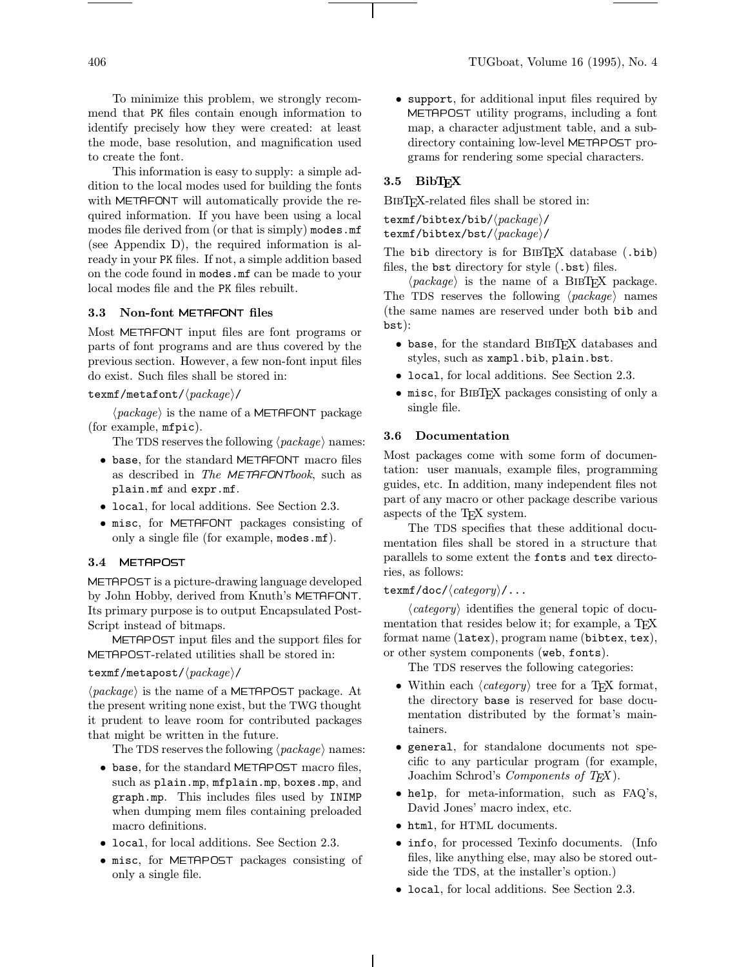To minimize this problem, we strongly recommend that PK files contain enough information to identify precisely how they were created: at least the mode, base resolution, and magnification used to create the font.

This information is easy to supply: a simple addition to the local modes used for building the fonts with METAFONT will automatically provide the required information. If you have been using a local modes file derived from (or that is simply) modes.mf (see Appendix D), the required information is already in your PK files. If not, a simple addition based on the code found in modes.mf can be made to your local modes file and the PK files rebuilt.

#### 3.3 Non-font METAFONT files

Most METAFONT input files are font programs or parts of font programs and are thus covered by the previous section. However, a few non-font input files do exist. Such files shall be stored in:

## texmf/metafont/ $\langle packet\rangle$

 $\langle package \rangle$  is the name of a METAFONT package (for example, mfpic).

The TDS reserves the following  $\langle package \rangle$  names:

- base, for the standard METAFONT macro files as described in The METAFONTbook, such as plain.mf and expr.mf.
- local, for local additions. See Section 2.3.
- misc, for METAFONT packages consisting of only a single file (for example, modes.mf).

### 3.4 METAPOST

METAPOST is a picture-drawing language developed by John Hobby, derived from Knuth's METAFONT. Its primary purpose is to output Encapsulated Post-Script instead of bitmaps.

METAPOST input files and the support files for METAPOST-related utilities shall be stored in:

#### texmf/metapost/ $\langle packet \rangle$

 $\langle package \rangle$  is the name of a METAPOST package. At the present writing none exist, but the TWG thought it prudent to leave room for contributed packages that might be written in the future.

The TDS reserves the following  $\langle package \rangle$  names:

- base, for the standard METAPOST macro files, such as plain.mp, mfplain.mp, boxes.mp, and graph.mp. This includes files used by INIMP when dumping mem files containing preloaded macro definitions.
- local, for local additions. See Section 2.3.
- misc, for METAPOST packages consisting of only a single file.

• support, for additional input files required by METAPOST utility programs, including a font map, a character adjustment table, and a subdirectory containing low-level METAPOST programs for rendering some special characters.

# 3.5 BibTFX

BibTEX-related files shall be stored in:

 $text/bibtex/bib$ / $\langle \textit{package} \rangle/$ 

texmf/bibtex/bst/ $\langle package \rangle/$ 

The bib directory is for BIBTEX database (.bib) files, the bst directory for style (.bst) files.

 $\langle package \rangle$  is the name of a BIBTEX package. The TDS reserves the following  $\langle package \rangle$  names (the same names are reserved under both bib and bst):

- base, for the standard BIBT<sub>EX</sub> databases and styles, such as xampl.bib, plain.bst.
- local, for local additions. See Section 2.3.
- misc, for BibTEX packages consisting of only a single file.

## 3.6 Documentation

Most packages come with some form of documentation: user manuals, example files, programming guides, etc. In addition, many independent files not part of any macro or other package describe various aspects of the TEX system.

The TDS specifies that these additional documentation files shall be stored in a structure that parallels to some extent the fonts and tex directories, as follows:

## texmf/doc/ $\langle category \rangle / \dots$

 $\langle category \rangle$  identifies the general topic of documentation that resides below it; for example, a TFX format name (latex), program name (bibtex, tex), or other system components (web, fonts).

The TDS reserves the following categories:

- Within each  $\langle category \rangle$  tree for a TEX format, the directory base is reserved for base documentation distributed by the format's maintainers.
- general, for standalone documents not specific to any particular program (for example, Joachim Schrod's *Components of TFX*).
- help, for meta-information, such as FAQ's, David Jones' macro index, etc.
- html, for HTML documents.
- info, for processed Texinfo documents. (Info files, like anything else, may also be stored outside the TDS, at the installer's option.)
- local, for local additions. See Section 2.3.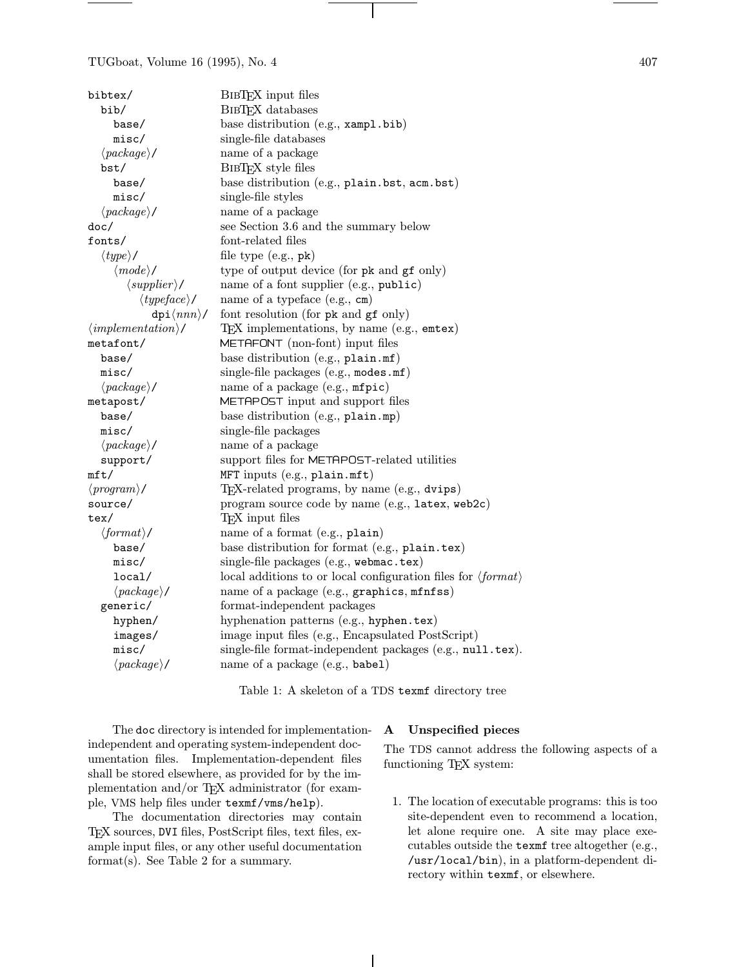TUGboat, Volume 16 (1995), No. 4 407

| bibtex/                            | BIBTFX input files                                                           |  |
|------------------------------------|------------------------------------------------------------------------------|--|
| bib/                               | <b>BIBTFX</b> databases                                                      |  |
| base/                              | base distribution (e.g., xampl.bib)                                          |  |
| misc/                              | single-file databases                                                        |  |
| $\langle package \rangle/$         | name of a package                                                            |  |
| bst/                               | BIBTFX style files                                                           |  |
| base/                              | base distribution (e.g., plain.bst, acm.bst)                                 |  |
| misc/                              | single-file styles                                                           |  |
| $\langle package \rangle/$         | name of a package                                                            |  |
| doc/                               | see Section 3.6 and the summary below                                        |  |
| fonts/                             | font-related files                                                           |  |
| $\langle type \rangle/$            | file type $(e.g., pk)$                                                       |  |
| $\langle mode \rangle/$            | type of output device (for pk and gf only)                                   |  |
| $\langle supportier \rangle /$     | name of a font supplier (e.g., public)                                       |  |
| $\langle typeface \rangle /$       | name of a typeface (e.g., cm)                                                |  |
| $dpi\langle nnn \rangle/$          | font resolution (for pk and gf only)                                         |  |
| $\langle implementation \rangle /$ | TEX implementations, by name (e.g., emtex)                                   |  |
| metafont/                          | METAFONT (non-font) input files                                              |  |
| base/                              | base distribution (e.g., plain.mf)                                           |  |
| misc/                              | single-file packages (e.g., modes.mf)                                        |  |
| $\langle package \rangle/$         | name of a package (e.g., mfpic)                                              |  |
| metapost/                          | METAPOST input and support files                                             |  |
| base/                              | base distribution (e.g., plain.mp)                                           |  |
| misc/                              | single-file packages                                                         |  |
| $\langle package \rangle/$         | name of a package                                                            |  |
| support/                           | support files for METAPOST-related utilities                                 |  |
| mft/                               | $MFT$ inputs (e.g., plain.mft)                                               |  |
| $\langle program \rangle /$        | TEX-related programs, by name (e.g., dvips)                                  |  |
| source/                            | program source code by name (e.g., latex, web2c)                             |  |
| $text{tex}/$                       | T <sub>F</sub> X input files                                                 |  |
| $\langle format \rangle /$         | name of a format (e.g., plain)                                               |  |
| base/                              | base distribution for format (e.g., plain.tex)                               |  |
| misc/                              | single-file packages (e.g., webmac.tex)                                      |  |
| local/                             | local additions to or local configuration files for $\langle format \rangle$ |  |
| $\langle package \rangle /$        | name of a package (e.g., graphics, mfnfss)                                   |  |
| generic/                           | format-independent packages                                                  |  |
| hyphen/                            | hyphenation patterns (e.g., hyphen.tex)                                      |  |
| images/                            | image input files (e.g., Encapsulated PostScript)                            |  |
| misc/                              | single-file format-independent packages (e.g., null.tex).                    |  |
| $\langle package \rangle/$         | name of a package (e.g., babel)                                              |  |

Table 1: A skeleton of a TDS texmf directory tree

The doc directory is intended for implementationindependent and operating system-independent documentation files. Implementation-dependent files shall be stored elsewhere, as provided for by the implementation and/or TEX administrator (for example, VMS help files under texmf/vms/help).

The documentation directories may contain TEX sources, DVI files, PostScript files, text files, example input files, or any other useful documentation format(s). See Table 2 for a summary.

## A Unspecified pieces

The TDS cannot address the following aspects of a functioning T<sub>E</sub>X system:

1. The location of executable programs: this is too site-dependent even to recommend a location, let alone require one. A site may place executables outside the texmf tree altogether (e.g., /usr/local/bin), in a platform-dependent directory within texmf, or elsewhere.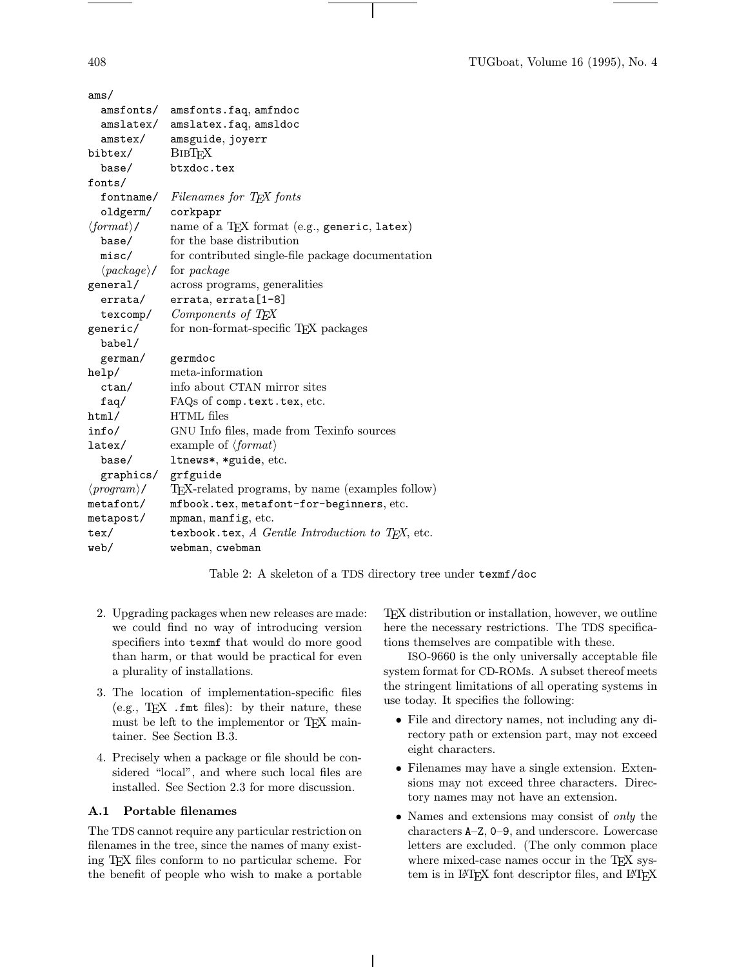| ams/                                |                                                   |
|-------------------------------------|---------------------------------------------------|
| amsfonts/                           | amsfonts.faq, amfndoc                             |
| amslatex/                           | amslatex.faq, amsldoc                             |
| amster/                             | amsguide, joyerr                                  |
| bibtex/                             | <b>BIBTFX</b>                                     |
| base/                               | btxdoc.tex                                        |
| fonts/                              |                                                   |
|                                     | fontname/ Filenames for TEX fonts                 |
| oldgerm/ corkpapr                   |                                                   |
| $\langle format \rangle /$          | name of a TEX format (e.g., generic, latex)       |
| base/                               | for the base distribution                         |
| misc/                               | for contributed single-file package documentation |
| $\langle \mathit{package} \rangle/$ | for <i>package</i>                                |
| general/                            | across programs, generalities                     |
| errata/                             | errata, errata[1-8]                               |
| texcomp/                            | Components of T <sub>E</sub> X                    |
| generic/                            | for non-format-specific T <sub>F</sub> X packages |
| babel/                              |                                                   |
| german/                             | germdoc                                           |
| help/                               | meta-information                                  |
| ctan/                               | info about CTAN mirror sites                      |
| faq/                                | FAQs of comp.text.tex, etc.                       |
| html/                               | HTML files                                        |
| info/                               | GNU Info files, made from Texinfo sources         |
| latex/                              | example of $\langle format \rangle$               |
| base/                               | ltnews*, *guide, etc.                             |
| graphics/ grfguide                  |                                                   |
| $\langle program \rangle /$         | TEX-related programs, by name (examples follow)   |
| metafont/                           | mfbook.tex, metafont-for-beginners, etc.          |
| metapost/                           | mpman, manfig, etc.                               |
| tex/                                | texbook.tex, A Gentle Introduction to TEX, etc.   |
| web/                                | webman, cwebman                                   |

Table 2: A skeleton of a TDS directory tree under texmf/doc

- 2. Upgrading packages when new releases are made: we could find no way of introducing version specifiers into texmf that would do more good than harm, or that would be practical for even a plurality of installations.
- 3. The location of implementation-specific files (e.g.,  $T_F X$  . fmt files): by their nature, these must be left to the implementor or TEX maintainer. See Section B.3.
- 4. Precisely when a package or file should be considered "local", and where such local files are installed. See Section 2.3 for more discussion.

## A.1 Portable filenames

The TDS cannot require any particular restriction on filenames in the tree, since the names of many existing TEX files conform to no particular scheme. For the benefit of people who wish to make a portable TEX distribution or installation, however, we outline here the necessary restrictions. The TDS specifications themselves are compatible with these.

ISO-9660 is the only universally acceptable file system format for CD-ROMs. A subset thereof meets the stringent limitations of all operating systems in use today. It specifies the following:

- File and directory names, not including any directory path or extension part, may not exceed eight characters.
- Filenames may have a single extension. Extensions may not exceed three characters. Directory names may not have an extension.
- Names and extensions may consist of only the characters A–Z, 0–9, and underscore. Lowercase letters are excluded. (The only common place where mixed-case names occur in the TEX system is in L<sup>AT</sup>FX font descriptor files, and L<sup>AT</sup>FX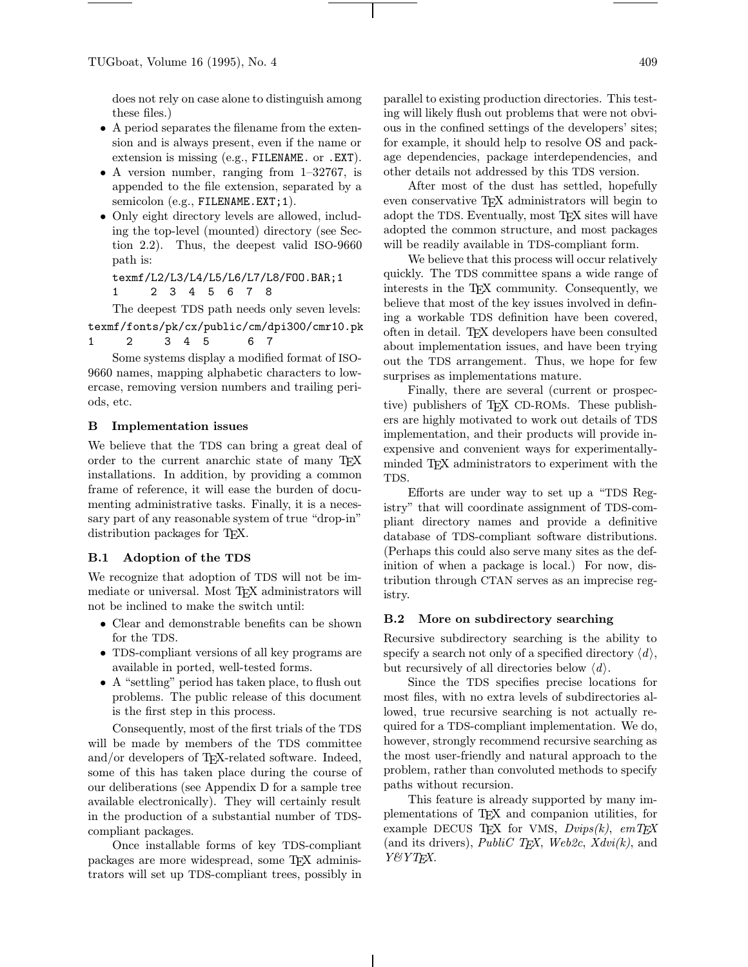does not rely on case alone to distinguish among these files.)

- A period separates the filename from the extension and is always present, even if the name or extension is missing (e.g., FILENAME. or .EXT).
- A version number, ranging from 1–32767, is appended to the file extension, separated by a semicolon (e.g., FILENAME.EXT; 1).
- Only eight directory levels are allowed, including the top-level (mounted) directory (see Section 2.2). Thus, the deepest valid ISO-9660 path is:

texmf/L2/L3/L4/L5/L6/L7/L8/FOO.BAR;1 1 2345678

The deepest TDS path needs only seven levels: texmf/fonts/pk/cx/public/cm/dpi300/cmr10.pk 1 2 345 67

Some systems display a modified format of ISO-9660 names, mapping alphabetic characters to lowercase, removing version numbers and trailing periods, etc.

#### B Implementation issues

We believe that the TDS can bring a great deal of order to the current anarchic state of many TEX installations. In addition, by providing a common frame of reference, it will ease the burden of documenting administrative tasks. Finally, it is a necessary part of any reasonable system of true "drop-in" distribution packages for T<sub>F</sub>X.

#### B.1 Adoption of the TDS

We recognize that adoption of TDS will not be immediate or universal. Most TFX administrators will not be inclined to make the switch until:

- Clear and demonstrable benefits can be shown for the TDS.
- TDS-compliant versions of all key programs are available in ported, well-tested forms.
- A "settling" period has taken place, to flush out problems. The public release of this document is the first step in this process.

Consequently, most of the first trials of the TDS will be made by members of the TDS committee and/or developers of TEX-related software. Indeed, some of this has taken place during the course of our deliberations (see Appendix D for a sample tree available electronically). They will certainly result in the production of a substantial number of TDScompliant packages.

Once installable forms of key TDS-compliant packages are more widespread, some TEX administrators will set up TDS-compliant trees, possibly in parallel to existing production directories. This testing will likely flush out problems that were not obvious in the confined settings of the developers' sites; for example, it should help to resolve OS and package dependencies, package interdependencies, and other details not addressed by this TDS version.

After most of the dust has settled, hopefully even conservative TEX administrators will begin to adopt the TDS. Eventually, most T<sub>F</sub>X sites will have adopted the common structure, and most packages will be readily available in TDS-compliant form.

We believe that this process will occur relatively quickly. The TDS committee spans a wide range of interests in the TEX community. Consequently, we believe that most of the key issues involved in defining a workable TDS definition have been covered, often in detail. TEX developers have been consulted about implementation issues, and have been trying out the TDS arrangement. Thus, we hope for few surprises as implementations mature.

Finally, there are several (current or prospective) publishers of TFX CD-ROMs. These publishers are highly motivated to work out details of TDS implementation, and their products will provide inexpensive and convenient ways for experimentallyminded TEX administrators to experiment with the TDS.

Efforts are under way to set up a "TDS Registry" that will coordinate assignment of TDS-compliant directory names and provide a definitive database of TDS-compliant software distributions. (Perhaps this could also serve many sites as the definition of when a package is local.) For now, distribution through CTAN serves as an imprecise registry.

#### B.2 More on subdirectory searching

Recursive subdirectory searching is the ability to specify a search not only of a specified directory  $\langle d \rangle$ , but recursively of all directories below  $\langle d \rangle$ .

Since the TDS specifies precise locations for most files, with no extra levels of subdirectories allowed, true recursive searching is not actually required for a TDS-compliant implementation. We do, however, strongly recommend recursive searching as the most user-friendly and natural approach to the problem, rather than convoluted methods to specify paths without recursion.

This feature is already supported by many implementations of TEX and companion utilities, for example DECUS TFX for VMS,  $Dvips(k)$ ,  $emTrX$ (and its drivers), *PubliC T<sub>E</sub>X*, *Web2c*, *Xdvi*(*k*), and Y&YTEX.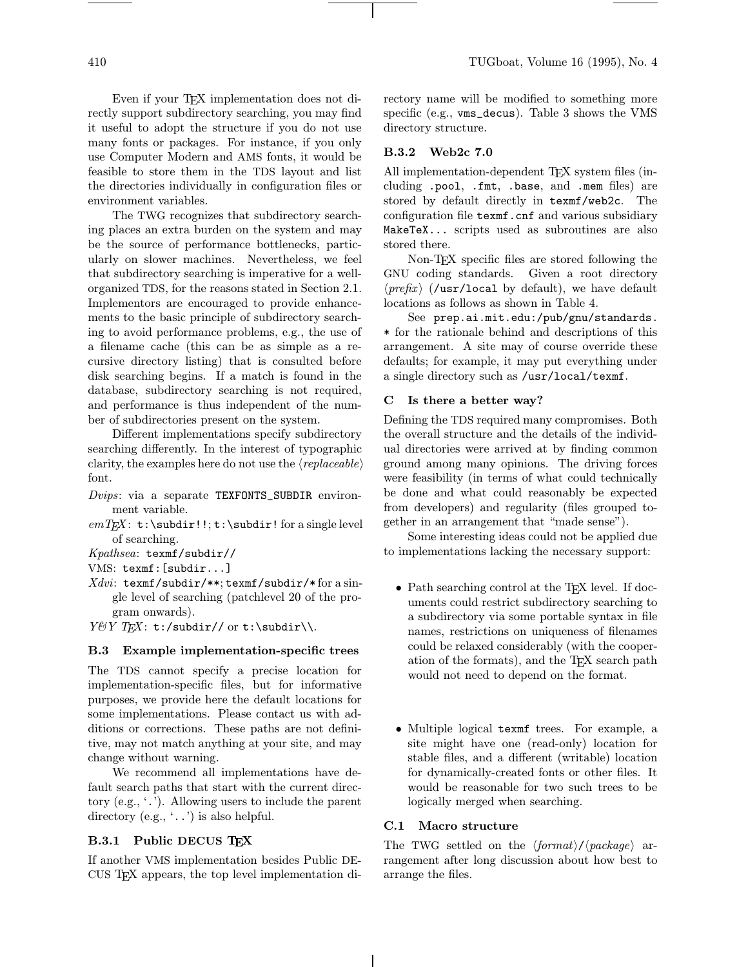Even if your TEX implementation does not directly support subdirectory searching, you may find it useful to adopt the structure if you do not use many fonts or packages. For instance, if you only use Computer Modern and AMS fonts, it would be feasible to store them in the TDS layout and list the directories individually in configuration files or environment variables.

The TWG recognizes that subdirectory searching places an extra burden on the system and may be the source of performance bottlenecks, particularly on slower machines. Nevertheless, we feel that subdirectory searching is imperative for a wellorganized TDS, for the reasons stated in Section 2.1. Implementors are encouraged to provide enhancements to the basic principle of subdirectory searching to avoid performance problems, e.g., the use of a filename cache (this can be as simple as a recursive directory listing) that is consulted before disk searching begins. If a match is found in the database, subdirectory searching is not required, and performance is thus independent of the number of subdirectories present on the system.

Different implementations specify subdirectory searching differently. In the interest of typographic clarity, the examples here do not use the  $\langle replaceable \rangle$ font.

- Dvips: via a separate TEXFONTS\_SUBDIR environment variable.
- $emTEX: t:\subdir!!; t:\subdir!$  for a single level of searching.
- Kpathsea: texmf/subdir//
- VMS: texmf:[subdir...]
- Xdvi: texmf/subdir/\*\*; texmf/subdir/\* for a single level of searching (patchlevel 20 of the program onwards).
- $Y \& Y \rightarrow T_F X: t: \mathsf{subdir} / \mathsf{or} t: \mathsf{subdir} \.\$

## B.3 Example implementation-specific trees

The TDS cannot specify a precise location for implementation-specific files, but for informative purposes, we provide here the default locations for some implementations. Please contact us with additions or corrections. These paths are not definitive, may not match anything at your site, and may change without warning.

We recommend all implementations have default search paths that start with the current directory (e.g., '.'). Allowing users to include the parent directory (e.g., '..') is also helpful.

# B.3.1 Public DECUS TFX

If another VMS implementation besides Public DE-CUS TEX appears, the top level implementation directory name will be modified to something more specific (e.g., vms\_decus). Table 3 shows the VMS directory structure.

## B.3.2 Web2c 7.0

All implementation-dependent TEX system files (including .pool, .fmt, .base, and .mem files) are stored by default directly in texmf/web2c. The configuration file texmf.cnf and various subsidiary MakeTeX... scripts used as subroutines are also stored there.

Non-TEX specific files are stored following the GNU coding standards. Given a root directory  $\langle prefix \rangle$  (/usr/local by default), we have default locations as follows as shown in Table 4.

See prep.ai.mit.edu:/pub/gnu/standards. \* for the rationale behind and descriptions of this arrangement. A site may of course override these defaults; for example, it may put everything under a single directory such as /usr/local/texmf.

# C Is there a better way?

Defining the TDS required many compromises. Both the overall structure and the details of the individual directories were arrived at by finding common ground among many opinions. The driving forces were feasibility (in terms of what could technically be done and what could reasonably be expected from developers) and regularity (files grouped together in an arrangement that "made sense").

Some interesting ideas could not be applied due to implementations lacking the necessary support:

- Path searching control at the T<sub>E</sub>X level. If documents could restrict subdirectory searching to a subdirectory via some portable syntax in file names, restrictions on uniqueness of filenames could be relaxed considerably (with the cooperation of the formats), and the TEX search path would not need to depend on the format.
- Multiple logical texmf trees. For example, a site might have one (read-only) location for stable files, and a different (writable) location for dynamically-created fonts or other files. It would be reasonable for two such trees to be logically merged when searching.

# C.1 Macro structure

The TWG settled on the  $\langle format \rangle/\langle package \rangle$  arrangement after long discussion about how best to arrange the files.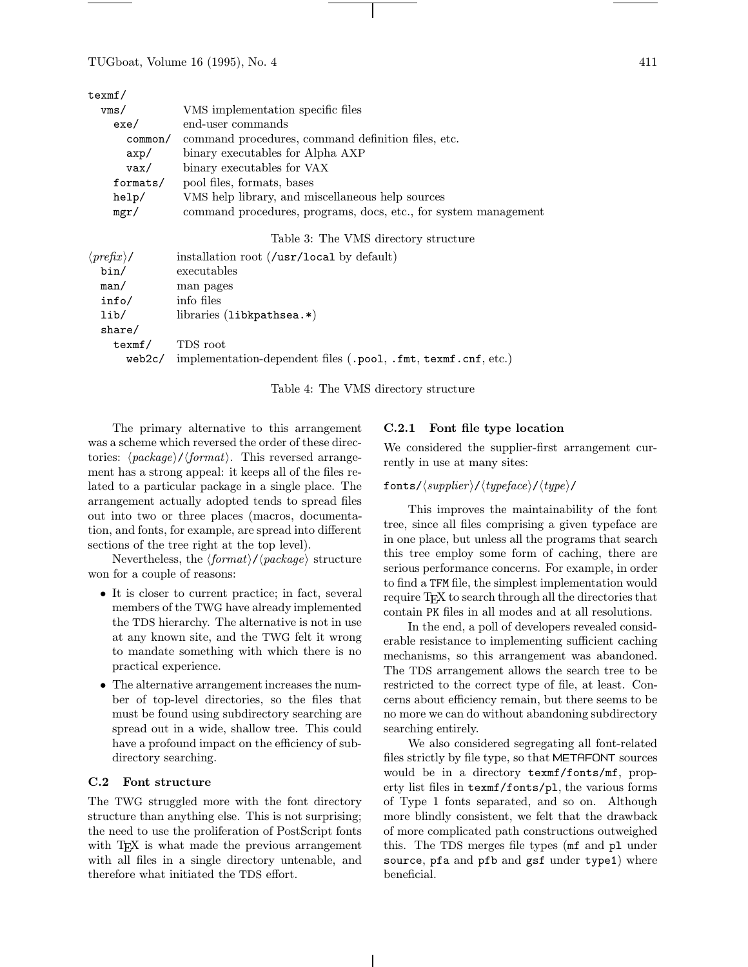$t$ 

| exmi/    |                                                                 |
|----------|-----------------------------------------------------------------|
| vms/     | VMS implementation specific files                               |
| exe/     | end-user commands                                               |
| common/  | command procedures, command definition files, etc.              |
| $\exp/$  | binary executables for Alpha AXP                                |
| vax/     | binary executables for VAX                                      |
| formats/ | pool files, formats, bases                                      |
| help/    | VMS help library, and miscellaneous help sources                |
| mgr/     | command procedures, programs, docs, etc., for system management |

#### Table 3: The VMS directory structure

| $\langle prefix \rangle /$<br>bin/ | installation root $\frac{\text{d}}{\text{d}x}$ ( <i>l</i> usr/local by default)<br>executables |
|------------------------------------|------------------------------------------------------------------------------------------------|
| man/                               | man pages                                                                                      |
| info/                              | info files                                                                                     |
| lib/                               | libraries $(libkpathsea.*)$                                                                    |
| share/                             |                                                                                                |
| texmf/                             | TDS root                                                                                       |
| web2c/                             | implementation-dependent files (.pool, .fmt, texmf.cnf, etc.)                                  |

Table 4: The VMS directory structure

The primary alternative to this arrangement was a scheme which reversed the order of these directories:  $\langle package \rangle / \langle format \rangle$ . This reversed arrangement has a strong appeal: it keeps all of the files related to a particular package in a single place. The arrangement actually adopted tends to spread files out into two or three places (macros, documentation, and fonts, for example, are spread into different sections of the tree right at the top level).

Nevertheless, the  $\langle format \rangle/\langle package \rangle$  structure won for a couple of reasons:

- It is closer to current practice; in fact, several members of the TWG have already implemented the TDS hierarchy. The alternative is not in use at any known site, and the TWG felt it wrong to mandate something with which there is no practical experience.
- The alternative arrangement increases the number of top-level directories, so the files that must be found using subdirectory searching are spread out in a wide, shallow tree. This could have a profound impact on the efficiency of subdirectory searching.

#### C.2 Font structure

The TWG struggled more with the font directory structure than anything else. This is not surprising; the need to use the proliferation of PostScript fonts with TEX is what made the previous arrangement with all files in a single directory untenable, and therefore what initiated the TDS effort.

## C.2.1 Font file type location

We considered the supplier-first arrangement currently in use at many sites:

### fonts/ $\langle support/ctypeface \rangle / \langle type \rangle /$

This improves the maintainability of the font tree, since all files comprising a given typeface are in one place, but unless all the programs that search this tree employ some form of caching, there are serious performance concerns. For example, in order to find a TFM file, the simplest implementation would require TEX to search through all the directories that contain PK files in all modes and at all resolutions.

In the end, a poll of developers revealed considerable resistance to implementing sufficient caching mechanisms, so this arrangement was abandoned. The TDS arrangement allows the search tree to be restricted to the correct type of file, at least. Concerns about efficiency remain, but there seems to be no more we can do without abandoning subdirectory searching entirely.

We also considered segregating all font-related files strictly by file type, so that METAFONT sources would be in a directory texmf/fonts/mf, property list files in texmf/fonts/pl, the various forms of Type 1 fonts separated, and so on. Although more blindly consistent, we felt that the drawback of more complicated path constructions outweighed this. The TDS merges file types (mf and pl under source, pfa and pfb and gsf under type1) where beneficial.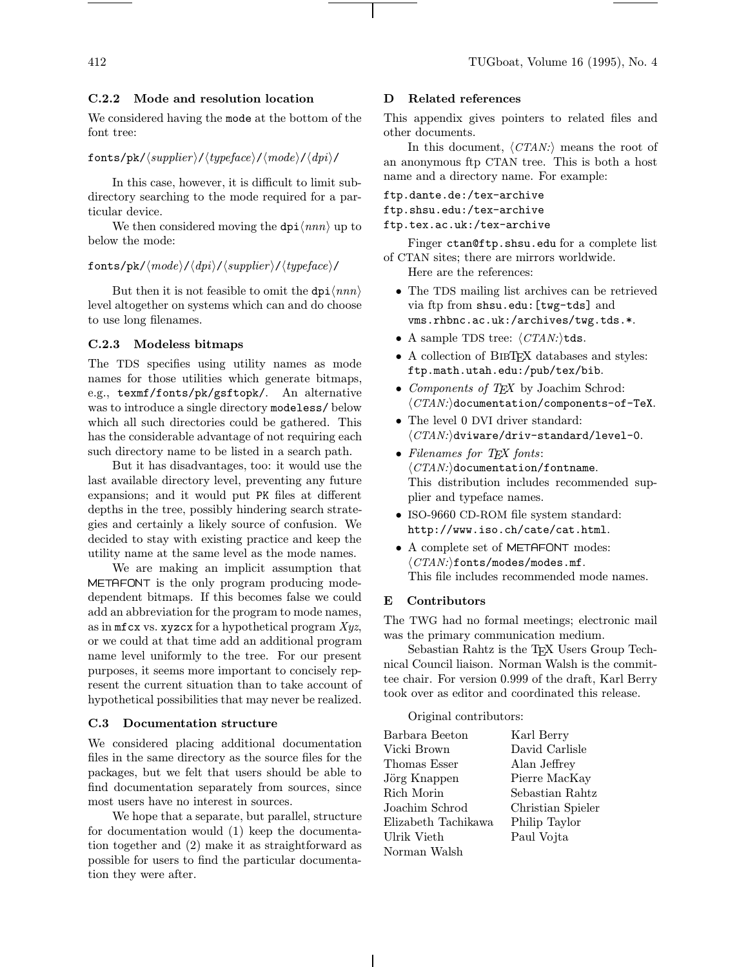## C.2.2 Mode and resolution location

We considered having the mode at the bottom of the font tree:

fonts/pk/ $\langle \text{supplier} \rangle / \langle \text{typeface} \rangle / \langle \text{mode} \rangle / \langle \text{dpi} \rangle /$ 

In this case, however, it is difficult to limit subdirectory searching to the mode required for a particular device.

We then considered moving the  $dpi \langle nnn \rangle$  up to below the mode:

#### fonts/pk/ $\langle mode \rangle / \langle dipi \rangle / \langle supplier \rangle / \langle typeface \rangle /$

But then it is not feasible to omit the  $dpi \langle nnn \rangle$ level altogether on systems which can and do choose to use long filenames.

## C.2.3 Modeless bitmaps

The TDS specifies using utility names as mode names for those utilities which generate bitmaps, e.g., texmf/fonts/pk/gsftopk/. An alternative was to introduce a single directory modeless/ below which all such directories could be gathered. This has the considerable advantage of not requiring each such directory name to be listed in a search path.

But it has disadvantages, too: it would use the last available directory level, preventing any future expansions; and it would put PK files at different depths in the tree, possibly hindering search strategies and certainly a likely source of confusion. We decided to stay with existing practice and keep the utility name at the same level as the mode names.

We are making an implicit assumption that METAFONT is the only program producing modedependent bitmaps. If this becomes false we could add an abbreviation for the program to mode names, as in  $m$ ficx vs. xyzcx for a hypothetical program  $Xyz$ , or we could at that time add an additional program name level uniformly to the tree. For our present purposes, it seems more important to concisely represent the current situation than to take account of hypothetical possibilities that may never be realized.

#### C.3 Documentation structure

We considered placing additional documentation files in the same directory as the source files for the packages, but we felt that users should be able to find documentation separately from sources, since most users have no interest in sources.

We hope that a separate, but parallel, structure for documentation would (1) keep the documentation together and (2) make it as straightforward as possible for users to find the particular documentation they were after.

## D Related references

This appendix gives pointers to related files and other documents.

In this document,  $\langle CTAN:\rangle$  means the root of an anonymous ftp CTAN tree. This is both a host name and a directory name. For example:

ftp.dante.de:/tex-archive ftp.shsu.edu:/tex-archive ftp.tex.ac.uk:/tex-archive

Finger ctan@ftp.shsu.edu for a complete list of CTAN sites; there are mirrors worldwide.

Here are the references:

- The TDS mailing list archives can be retrieved via ftp from shsu.edu:[twg-tds] and vms.rhbnc.ac.uk:/archives/twg.tds.\*.
- A sample TDS tree:  $\langle CTAN:\rangle$ tds.
- A collection of BIBTEX databases and styles: ftp.math.utah.edu:/pub/tex/bib.
- Components of  $T \not\!\! E X$  by Joachim Schrod:  $\langle CTAN:\rangle$ documentation/components-of-TeX.
- The level 0 DVI driver standard:  $\langle CTAN:\rangle$ dviware/driv-standard/level-0.
- Filenames for T<sub>F</sub>X fonts:  $\langle CTAN:\rangle$ documentation/fontname. This distribution includes recommended supplier and typeface names.
- ISO-9660 CD-ROM file system standard: http://www.iso.ch/cate/cat.html.
- A complete set of METAFONT modes:  $\langle CTAN:\rangle$ fonts/modes/modes.mf. This file includes recommended mode names.

# E Contributors

The TWG had no formal meetings; electronic mail was the primary communication medium.

Sebastian Rahtz is the TEX Users Group Technical Council liaison. Norman Walsh is the committee chair. For version 0.999 of the draft, Karl Berry took over as editor and coordinated this release.

#### Original contributors:

| Barbara Beeton      | Karl Berry        |
|---------------------|-------------------|
| Vicki Brown         | David Carlisle    |
| Thomas Esser        | Alan Jeffrey      |
| Jörg Knappen        | Pierre MacKay     |
| Rich Morin          | Sebastian Rahtz   |
| Joachim Schrod      | Christian Spieler |
| Elizabeth Tachikawa | Philip Taylor     |
| Ulrik Vieth         | Paul Vojta        |
| Norman Walsh        |                   |